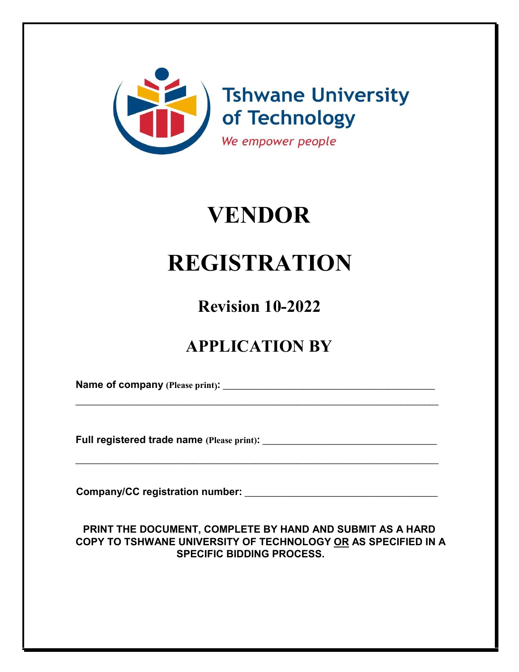

# **VENDOR**

# **REGISTRATION**

**Revision 10-2022**

# **APPLICATION BY**

\_\_\_\_\_\_\_\_\_\_\_\_\_\_\_\_\_\_\_\_\_\_\_\_\_\_\_\_\_\_\_\_\_\_\_\_\_\_\_\_\_\_\_\_\_\_\_\_\_\_\_\_\_\_\_\_\_\_\_\_\_\_\_\_\_\_\_\_\_\_\_\_\_\_\_\_\_

\_\_\_\_\_\_\_\_\_\_\_\_\_\_\_\_\_\_\_\_\_\_\_\_\_\_\_\_\_\_\_\_\_\_\_\_\_\_\_\_\_\_\_\_\_\_\_\_\_\_\_\_\_\_\_\_\_\_\_\_\_\_\_\_\_\_\_\_\_\_\_\_\_\_\_\_\_

**Name of company (Please print):** \_\_\_\_\_\_\_\_\_\_\_\_\_\_\_\_\_\_\_\_\_\_\_\_\_\_\_\_\_\_\_\_\_\_\_\_\_\_\_\_\_\_\_\_\_

**Full registered trade name (Please print):** \_\_\_\_\_\_\_\_\_\_\_\_\_\_\_\_\_\_\_\_\_\_\_\_\_\_\_\_\_\_\_\_\_\_\_\_\_

**Company/CC registration number:** \_\_\_\_\_\_\_\_\_\_\_\_\_\_\_\_\_\_\_\_\_\_\_\_\_\_\_\_\_\_\_\_\_\_\_\_\_\_\_\_\_

# **PRINT THE DOCUMENT, COMPLETE BY HAND AND SUBMIT AS A HARD COPY TO TSHWANE UNIVERSITY OF TECHNOLOGY OR AS SPECIFIED IN A SPECIFIC BIDDING PROCESS.**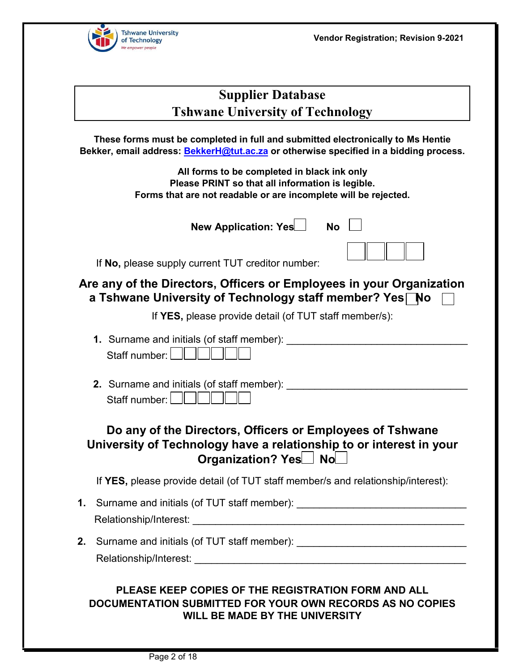

| <b>Supplier Database</b>                |
|-----------------------------------------|
| <b>Tshwane University of Technology</b> |

**These forms must be completed in full and submitted electronically to Ms Hentie Bekker, email address: BekkerH@tut.ac.za or otherwise specified in a bidding process.** 

> **All forms to be completed in black ink only Please PRINT so that all information is legible. Forms that are not readable or are incomplete will be rejected.**

> > **New Application: Yes No**

If **No,** please supply current TUT creditor number:

# **Are any of the Directors, Officers or Employees in your Organization a Tshwane University of Technology staff member? Yes** No

If **YES,** please provide detail (of TUT staff member/s):

| 1. Surname and initials (of staff member): |
|--------------------------------------------|
|                                            |

**2.** Surname and initials (of staff member): Staff number: | ||

# **Do any of the Directors, Officers or Employees of Tshwane University of Technology have a relationship to or interest in your Organization? Yes** No

If **YES,** please provide detail (of TUT staff member/s and relationship/interest):

- **1.** Surname and initials (of TUT staff member): Relationship/Interest: \_\_\_\_\_\_\_\_\_\_\_\_\_\_\_\_\_\_\_\_\_\_\_\_\_\_\_\_\_\_\_\_\_\_\_\_\_\_\_\_\_\_\_\_\_\_\_\_
- **2.** Surname and initials (of TUT staff member): \_\_\_\_\_\_\_\_\_\_\_\_\_\_\_\_\_\_\_\_\_\_\_\_\_\_\_\_\_\_\_\_ Relationship/Interest: **Example 2018**

# **PLEASE KEEP COPIES OF THE REGISTRATION FORM AND ALL DOCUMENTATION SUBMITTED FOR YOUR OWN RECORDS AS NO COPIES WILL BE MADE BY THE UNIVERSITY**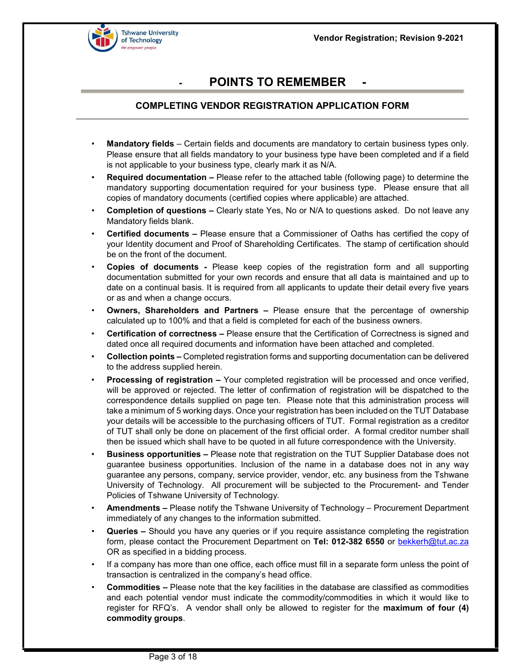

# **POINTS TO REMEMBER**

#### **COMPLETING VENDOR REGISTRATION APPLICATION FORM**

- **Mandatory fields**  Certain fields and documents are mandatory to certain business types only. Please ensure that all fields mandatory to your business type have been completed and if a field is not applicable to your business type, clearly mark it as N/A.
- **Required documentation –** Please refer to the attached table (following page) to determine the mandatory supporting documentation required for your business type. Please ensure that all copies of mandatory documents (certified copies where applicable) are attached.
- **Completion of questions –** Clearly state Yes, No or N/A to questions asked. Do not leave any Mandatory fields blank.
- **Certified documents –** Please ensure that a Commissioner of Oaths has certified the copy of your Identity document and Proof of Shareholding Certificates. The stamp of certification should be on the front of the document.
- **Copies of documents -** Please keep copies of the registration form and all supporting documentation submitted for your own records and ensure that all data is maintained and up to date on a continual basis. It is required from all applicants to update their detail every five years or as and when a change occurs.
- **Owners, Shareholders and Partners –** Please ensure that the percentage of ownership calculated up to 100% and that a field is completed for each of the business owners.
- **Certification of correctness –** Please ensure that the Certification of Correctness is signed and dated once all required documents and information have been attached and completed.
- **Collection points –** Completed registration forms and supporting documentation can be delivered to the address supplied herein.
- **Processing of registration –** Your completed registration will be processed and once verified, will be approved or rejected. The letter of confirmation of registration will be dispatched to the correspondence details supplied on page ten. Please note that this administration process will take a minimum of 5 working days. Once your registration has been included on the TUT Database your details will be accessible to the purchasing officers of TUT. Formal registration as a creditor of TUT shall only be done on placement of the first official order. A formal creditor number shall then be issued which shall have to be quoted in all future correspondence with the University.
- **Business opportunities –** Please note that registration on the TUT Supplier Database does not guarantee business opportunities. Inclusion of the name in a database does not in any way guarantee any persons, company, service provider, vendor, etc. any business from the Tshwane University of Technology. All procurement will be subjected to the Procurement- and Tender Policies of Tshwane University of Technology.
- **Amendments –** Please notify the Tshwane University of Technology Procurement Department immediately of any changes to the information submitted.
- **Queries –** Should you have any queries or if you require assistance completing the registration form, please contact the Procurement Department on **Tel: 012-382 6550** or bekkerh@tut.ac.za OR as specified in a bidding process.
- If a company has more than one office, each office must fill in a separate form unless the point of transaction is centralized in the company's head office.
- **Commodities –** Please note that the key facilities in the database are classified as commodities and each potential vendor must indicate the commodity/commodities in which it would like to register for RFQ's. A vendor shall only be allowed to register for the **maximum of four (4) commodity groups**.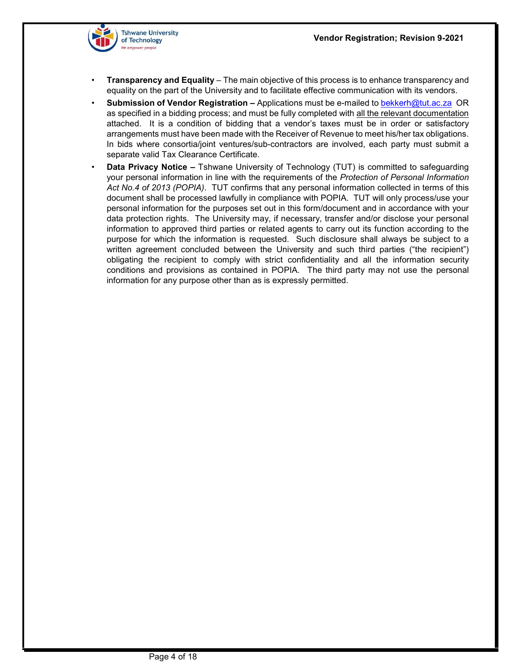

- **Transparency and Equality**  The main objective of this process is to enhance transparency and equality on the part of the University and to facilitate effective communication with its vendors.
- **Submission of Vendor Registration –** Applications must be e-mailed to bekkerh@tut.ac.za OR as specified in a bidding process; and must be fully completed with all the relevant documentation attached. It is a condition of bidding that a vendor's taxes must be in order or satisfactory arrangements must have been made with the Receiver of Revenue to meet his/her tax obligations. In bids where consortia/joint ventures/sub-contractors are involved, each party must submit a separate valid Tax Clearance Certificate.
- **Data Privacy Notice –** Tshwane University of Technology (TUT) is committed to safeguarding your personal information in line with the requirements of the *Protection of Personal Information Act No.4 of 2013 (POPIA)*. TUT confirms that any personal information collected in terms of this document shall be processed lawfully in compliance with POPIA. TUT will only process/use your personal information for the purposes set out in this form/document and in accordance with your data protection rights. The University may, if necessary, transfer and/or disclose your personal information to approved third parties or related agents to carry out its function according to the purpose for which the information is requested. Such disclosure shall always be subject to a written agreement concluded between the University and such third parties ("the recipient") obligating the recipient to comply with strict confidentiality and all the information security conditions and provisions as contained in POPIA. The third party may not use the personal information for any purpose other than as is expressly permitted.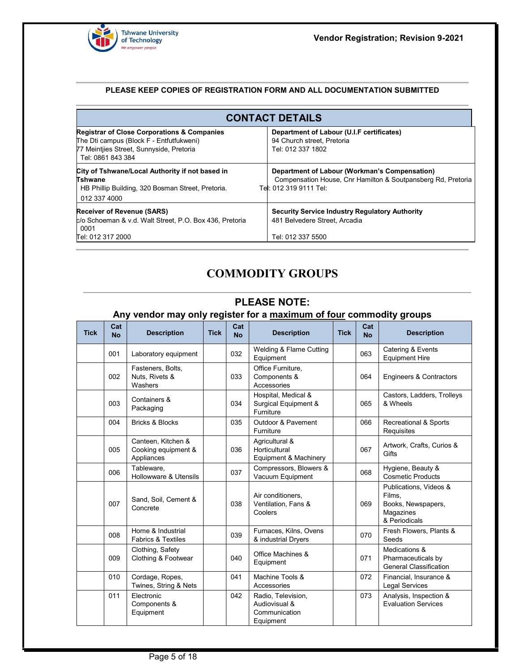

#### **PLEASE KEEP COPIES OF REGISTRATION FORM AND ALL DOCUMENTATION SUBMITTED**

| <b>CONTACT DETAILS</b>                                                                                                                                              |                                                                                                                                         |  |  |  |  |
|---------------------------------------------------------------------------------------------------------------------------------------------------------------------|-----------------------------------------------------------------------------------------------------------------------------------------|--|--|--|--|
| <b>Registrar of Close Corporations &amp; Companies</b><br>The Dti campus (Block F - Entfutfukweni)<br>77 Meintijes Street, Sunnyside, Pretoria<br>Tel: 0861 843 384 | Department of Labour (U.I.F certificates)<br>94 Church street, Pretoria<br>Tel: 012 337 1802                                            |  |  |  |  |
| City of Tshwane/Local Authority if not based in<br><b>Tshwane</b><br>HB Phillip Building, 320 Bosman Street, Pretoria.<br>012 337 4000                              | Department of Labour (Workman's Compensation)<br>Compensation House, Cnr Hamilton & Soutpansberg Rd, Pretoria<br>Tel: 012 319 9111 Tel: |  |  |  |  |
| <b>Receiver of Revenue (SARS)</b><br>c/o Schoeman & v.d. Walt Street, P.O. Box 436, Pretoria<br>0001<br>Tel: 012 317 2000                                           | <b>Security Service Industry Regulatory Authority</b><br>481 Belvedere Street, Arcadia<br>Tel: 012 337 5500                             |  |  |  |  |

# **COMMODITY GROUPS**

#### **PLEASE NOTE:**

# **Any vendor may only register for a maximum of four commodity groups**

| <b>Tick</b> | Cat<br><b>No</b> | <b>Description</b>                                      | <b>Tick</b> | Cat<br><b>No</b> | <b>Description</b>                                                | <b>Tick</b> | Cat<br><b>No</b> | <b>Description</b>                                                                   |
|-------------|------------------|---------------------------------------------------------|-------------|------------------|-------------------------------------------------------------------|-------------|------------------|--------------------------------------------------------------------------------------|
|             | 001              | Laboratory equipment                                    |             | 032              | Welding & Flame Cutting<br>Equipment                              |             | 063              | Catering & Events<br><b>Equipment Hire</b>                                           |
|             | 002              | Fasteners, Bolts,<br>Nuts, Rivets &<br>Washers          |             | 033              | Office Furniture,<br>Components &<br>Accessories                  |             | 064              | <b>Engineers &amp; Contractors</b>                                                   |
|             | 003              | Containers &<br>Packaging                               |             | 034              | Hospital, Medical &<br>Surgical Equipment &<br>Furniture          |             | 065              | Castors, Ladders, Trolleys<br>& Wheels                                               |
|             | 004              | <b>Bricks &amp; Blocks</b>                              |             | 035              | Outdoor & Pavement<br>Furniture                                   |             | 066              | Recreational & Sports<br>Requisites                                                  |
|             | 005              | Canteen, Kitchen &<br>Cooking equipment &<br>Appliances |             | 036              | Agricultural &<br>Horticultural<br>Equipment & Machinery          |             | 067              | Artwork, Crafts, Curios &<br>Gifts                                                   |
|             | 006              | Tableware.<br>Hollowware & Utensils                     |             | 037              | Compressors, Blowers &<br>Vacuum Equipment                        |             | 068              | Hygiene, Beauty &<br><b>Cosmetic Products</b>                                        |
|             | 007              | Sand, Soil, Cement &<br>Concrete                        |             | 038              | Air conditioners,<br>Ventilation. Fans &<br>Coolers               |             | 069              | Publications, Videos &<br>Films,<br>Books, Newspapers,<br>Magazines<br>& Periodicals |
|             | 008              | Home & Industrial<br><b>Fabrics &amp; Textiles</b>      |             | 039              | Furnaces, Kilns, Ovens<br>& industrial Dryers                     |             | 070              | Fresh Flowers, Plants &<br>Seeds                                                     |
|             | 009              | Clothing, Safety<br>Clothing & Footwear                 |             | 040              | Office Machines &<br>Equipment                                    |             | 071              | Medications &<br>Pharmaceuticals by<br><b>General Classification</b>                 |
|             | 010              | Cordage, Ropes,<br>Twines, String & Nets                |             | 041              | Machine Tools &<br>Accessories                                    |             | 072              | Financial, Insurance &<br><b>Legal Services</b>                                      |
|             | 011              | Electronic<br>Components &<br>Equipment                 |             | 042              | Radio, Television,<br>Audiovisual &<br>Communication<br>Equipment |             | 073              | Analysis, Inspection &<br><b>Evaluation Services</b>                                 |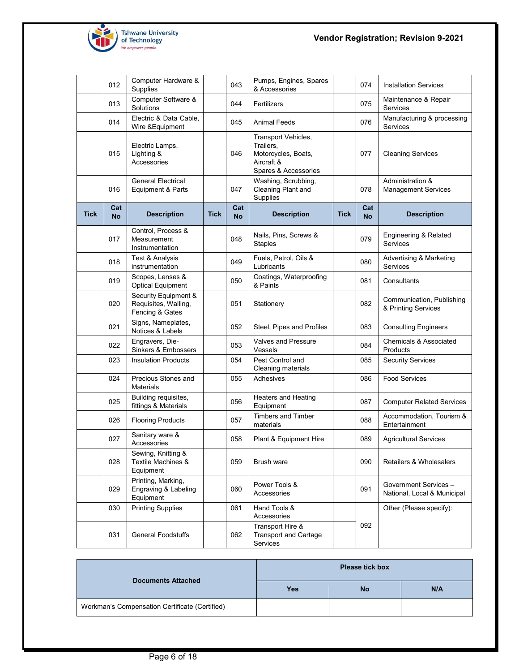

**Vendor Registration; Revision 9-2021**

|      | 012              | Computer Hardware &<br>Supplies                                 |             | 043              | Pumps, Engines, Spares<br>& Accessories                                                       |             | 074              | <b>Installation Services</b>                         |
|------|------------------|-----------------------------------------------------------------|-------------|------------------|-----------------------------------------------------------------------------------------------|-------------|------------------|------------------------------------------------------|
|      | 013              | Computer Software &<br>Solutions                                |             | 044              | Fertilizers                                                                                   |             | 075              | Maintenance & Repair<br>Services                     |
|      | 014              | Electric & Data Cable.<br>Wire & Equipment                      |             | 045              | <b>Animal Feeds</b>                                                                           |             | 076              | Manufacturing & processing<br>Services               |
|      | 015              | Electric Lamps,<br>Lighting &<br>Accessories                    |             | 046              | Transport Vehicles,<br>Trailers,<br>Motorcycles, Boats,<br>Aircraft &<br>Spares & Accessories |             | 077              | <b>Cleaning Services</b>                             |
|      | 016              | <b>General Electrical</b><br>Equipment & Parts                  |             | 047              | Washing, Scrubbing,<br>Cleaning Plant and<br>Supplies                                         |             | 078              | Administration &<br><b>Management Services</b>       |
| Tick | Cat<br><b>No</b> | <b>Description</b>                                              | <b>Tick</b> | Cat<br><b>No</b> | <b>Description</b>                                                                            | <b>Tick</b> | Cat<br><b>No</b> | <b>Description</b>                                   |
|      | 017              | Control, Process &<br>Measurement<br>Instrumentation            |             | 048              | Nails, Pins, Screws &<br><b>Staples</b>                                                       |             | 079              | Engineering & Related<br><b>Services</b>             |
|      | 018              | Test & Analysis<br>instrumentation                              |             | 049              | Fuels, Petrol, Oils &<br>Lubricants                                                           |             | 080              | <b>Advertising &amp; Marketing</b><br>Services       |
|      | 019              | Scopes, Lenses &<br><b>Optical Equipment</b>                    |             | 050              | Coatings, Waterproofing<br>& Paints                                                           |             | 081              | Consultants                                          |
|      | 020              | Security Equipment &<br>Requisites, Walling,<br>Fencing & Gates |             | 051              | Stationery                                                                                    |             | 082              | Communication, Publishing<br>& Printing Services     |
|      | 021              | Signs, Nameplates,<br>Notices & Labels                          |             | 052              | Steel, Pipes and Profiles                                                                     |             | 083              | <b>Consulting Engineers</b>                          |
|      | 022              | Engravers, Die-<br>Sinkers & Embossers                          |             | 053              | <b>Valves and Pressure</b><br>Vessels                                                         |             | 084              | <b>Chemicals &amp; Associated</b><br>Products        |
|      | 023              | <b>Insulation Products</b>                                      |             | 054              | Pest Control and<br>Cleaning materials                                                        |             | 085              | <b>Security Services</b>                             |
|      | 024              | Precious Stones and<br><b>Materials</b>                         |             | 055              | Adhesives                                                                                     |             | 086              | <b>Food Services</b>                                 |
|      | 025              | Building requisites,<br>fittings & Materials                    |             | 056              | <b>Heaters and Heating</b><br>Equipment                                                       |             | 087              | <b>Computer Related Services</b>                     |
|      | 026              | <b>Flooring Products</b>                                        |             | 057              | <b>Timbers and Timber</b><br>materials                                                        |             | 088              | Accommodation, Tourism &<br>Entertainment            |
|      | 027              | Sanitary ware &<br>Accessories                                  |             | 058              | Plant & Equipment Hire                                                                        |             | 089              | <b>Agricultural Services</b>                         |
|      | 028              | Sewing, Knitting &<br>Textile Machines &<br>Equipment           |             | 059              | Brush ware                                                                                    |             | 090              | Retailers & Wholesalers                              |
|      | 029              | Printing, Marking,<br>Engraving & Labeling<br>Equipment         |             | 060              | Power Tools &<br>Accessories                                                                  |             | 091              | Government Services -<br>National, Local & Municipal |
|      | 030              | <b>Printing Supplies</b>                                        |             | 061              | Hand Tools &<br>Accessories                                                                   |             |                  | Other (Please specify):                              |
|      | 031              | <b>General Foodstuffs</b>                                       |             | 062              | Transport Hire &<br><b>Transport and Cartage</b><br>Services                                  |             | 092              |                                                      |

| <b>Documents Attached</b>                      | <b>Please tick box</b> |           |     |  |  |  |
|------------------------------------------------|------------------------|-----------|-----|--|--|--|
|                                                | <b>Yes</b>             | <b>No</b> | N/A |  |  |  |
| Workman's Compensation Certificate (Certified) |                        |           |     |  |  |  |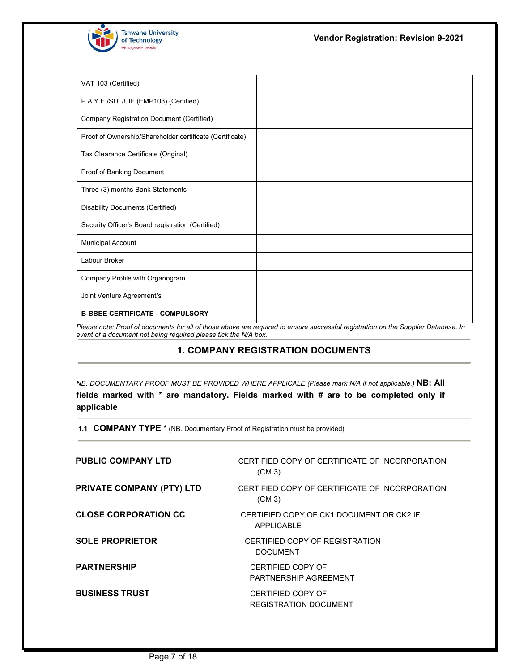

| VAT 103 (Certified)                                                                                                                |  |  |
|------------------------------------------------------------------------------------------------------------------------------------|--|--|
| P.A.Y.E./SDL/UIF (EMP103) (Certified)                                                                                              |  |  |
| Company Registration Document (Certified)                                                                                          |  |  |
| Proof of Ownership/Shareholder certificate (Certificate)                                                                           |  |  |
| Tax Clearance Certificate (Original)                                                                                               |  |  |
| Proof of Banking Document                                                                                                          |  |  |
| Three (3) months Bank Statements                                                                                                   |  |  |
| Disability Documents (Certified)                                                                                                   |  |  |
| Security Officer's Board registration (Certified)                                                                                  |  |  |
| <b>Municipal Account</b>                                                                                                           |  |  |
| Labour Broker                                                                                                                      |  |  |
| Company Profile with Organogram                                                                                                    |  |  |
| Joint Venture Agreement/s                                                                                                          |  |  |
| <b>B-BBEE CERTIFICATE - COMPULSORY</b>                                                                                             |  |  |
| Please note: Proof of documents for all of those above are required to ensure successful registration on the Supplier Database. In |  |  |

*event of a document not being required please tick the N/A box.* 

### **1. COMPANY REGISTRATION DOCUMENTS**

*NB. DOCUMENTARY PROOF MUST BE PROVIDED WHERE APPLICALE (Please mark N/A if not applicable.)* **NB: All fields marked with \* are mandatory. Fields marked with # are to be completed only if applicable** 

**1.1 COMPANY TYPE \*** (NB. Documentary Proof of Registration must be provided)

| <b>PUBLIC COMPANY LTD</b>        | CERTIFIED COPY OF CERTIFICATE OF INCORPORATION<br>$(CM_3)$ |
|----------------------------------|------------------------------------------------------------|
| <b>PRIVATE COMPANY (PTY) LTD</b> | CERTIFIED COPY OF CERTIFICATE OF INCORPORATION<br>$(CM_3)$ |
| <b>CLOSE CORPORATION CC</b>      | CERTIFIED COPY OF CK1 DOCUMENT OR CK2 IF<br>APPI ICABI F   |
| <b>SOLE PROPRIETOR</b>           | CERTIFIED COPY OF REGISTRATION<br><b>DOCUMENT</b>          |
| <b>PARTNERSHIP</b>               | <b>CERTIFIED COPY OF</b><br>PARTNERSHIP AGREEMENT          |
| <b>BUSINESS TRUST</b>            | <b>CERTIFIED COPY OF</b><br>REGISTRATION DOCUMENT          |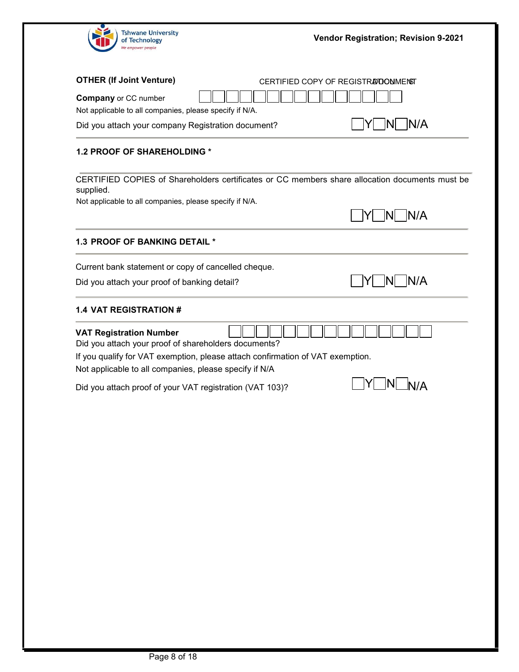

| <b>OTHER (If Joint Venture)</b><br>CERTIFIED COPY OF REGISTRATOONMENST                                      |      |
|-------------------------------------------------------------------------------------------------------------|------|
| <b>Company</b> or CC number<br>Not applicable to all companies, please specify if N/A.                      |      |
| Did you attach your company Registration document?                                                          | IN/A |
| <b>1.2 PROOF OF SHAREHOLDING *</b>                                                                          |      |
| CERTIFIED COPIES of Shareholders certificates or CC members share allocation documents must be<br>supplied. |      |
| Not applicable to all companies, please specify if N/A.                                                     |      |
|                                                                                                             | IN/A |
| <b>1.3 PROOF OF BANKING DETAIL *</b>                                                                        |      |
| Current bank statement or copy of cancelled cheque.                                                         |      |
| Did you attach your proof of banking detail?                                                                | IN/A |
| <b>1.4 VAT REGISTRATION #</b>                                                                               |      |
| <b>VAT Registration Number</b><br>Did you attach your proof of shareholders documents?                      |      |
| If you qualify for VAT exemption, please attach confirmation of VAT exemption.                              |      |
| Not applicable to all companies, please specify if N/A                                                      |      |
| Did you attach proof of your VAT registration (VAT 103)?                                                    |      |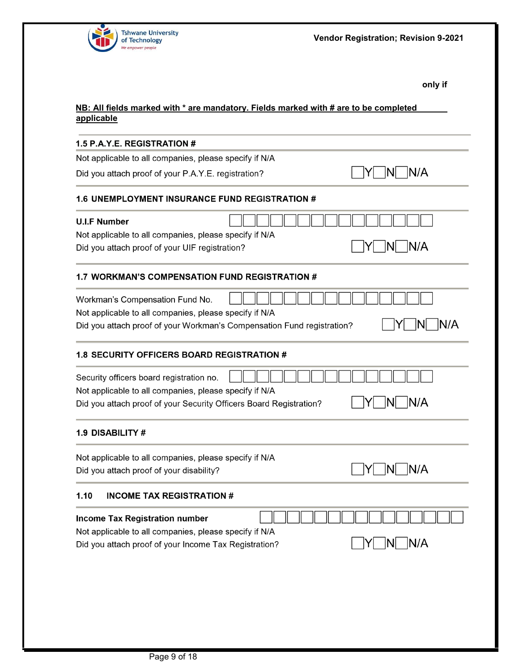

 $\neg Y \Box N \Box N / A$ 

**only if** 

## **NB: All fields marked with \* are mandatory. Fields marked with # are to be completed applicable**

#### **1.5 P.A.Y.E. REGISTRATION #**

Not applicable to all companies, please specify if N/A

Did you attach proof of your P.A.Y.E. registration?

#### 1.6 UNEMPLOYMENT INSURANCE FUND REGISTRATION #

| <b>U.I.F Number</b>                                                    |      |
|------------------------------------------------------------------------|------|
| Not applicable to all companies, please specify if N/A                 |      |
| Did you attach proof of your UIF registration?                         | IN/A |
| <b>WORKMAN'S COMPENSATION FUND REGISTRATION #</b>                      |      |
| Workman's Compensation Fund No.                                        |      |
| Not applicable to all companies, please specify if N/A                 |      |
| Did you attach proof of your Workman's Compensation Fund registration? |      |
| <b>1.8 SECURITY OFFICERS BOARD REGISTRATION #</b>                      |      |
| Security officers board registration no.                               |      |
| Not applicable to all companies, please specify if N/A                 |      |
| Did you attach proof of your Security Officers Board Registration?     |      |

#### 1.9 DISABILITY #

Not applicable to all companies, please specify if N/A  $\neg Y \Box N \Box N/A$ Did you attach proof of your disability?

#### $1.10$ **INCOME TAX REGISTRATION #**

| <b>Income Tax Registration number</b>                  |  |  |                                                                                             |  | . |
|--------------------------------------------------------|--|--|---------------------------------------------------------------------------------------------|--|---|
| Not applicable to all companies, please specify if N/A |  |  |                                                                                             |  |   |
| Did you attach proof of your Income Tax Registration?  |  |  | $\begin{array}{ c c c c c } \hline & \text{Y} & \text{N} & \text{N/A} \ \hline \end{array}$ |  |   |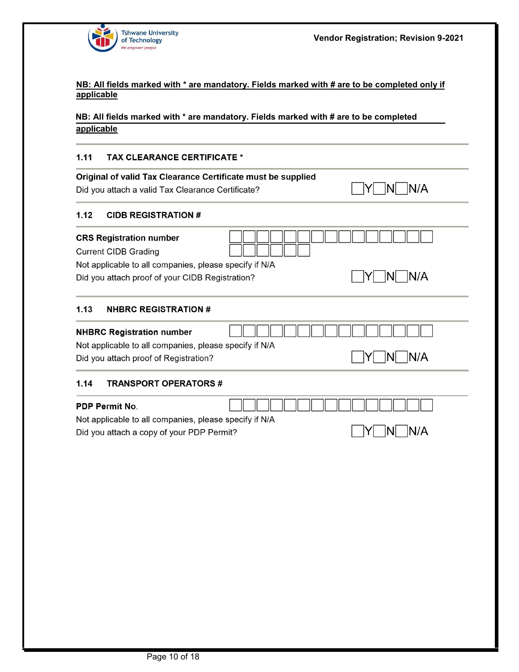

 $\neg Y \Box N \Box N/A$ 

#### **NB: All fields marked with \* are mandatory. Fields marked with # are to be completed only if applicable**

#### **NB: All fields marked with \* are mandatory. Fields marked with # are to be completed** applicable

#### $1.11$ **TAX CLEARANCE CERTIFICATE \***

|                       | Original of valid Tax Clearance Certificate must be supplied |                                            |
|-----------------------|--------------------------------------------------------------|--------------------------------------------|
|                       | Did you attach a valid Tax Clearance Certificate?            | IN/A                                       |
|                       |                                                              |                                            |
| 1.12                  | <b>CIDB REGISTRATION #</b>                                   |                                            |
|                       | <b>CRS Registration number</b>                               |                                            |
|                       | <b>Current CIDB Grading</b>                                  |                                            |
|                       | Not applicable to all companies, please specify if N/A       |                                            |
|                       | Did you attach proof of your CIDB Registration?              | IN/A                                       |
|                       |                                                              |                                            |
| 1.13                  | <b>NHBRC REGISTRATION #</b>                                  |                                            |
|                       | <b>NHBRC Registration number</b>                             |                                            |
|                       | Not applicable to all companies, please specify if N/A       |                                            |
|                       | Did you attach proof of Registration?                        | $\overline{N}$ $\overline{N}/\overline{A}$ |
| 1.14                  | <b>TRANSPORT OPERATORS #</b>                                 |                                            |
| <b>PDP Permit No.</b> |                                                              |                                            |

Not applicable to all companies, please specify if N/A Did you attach a copy of your PDP Permit?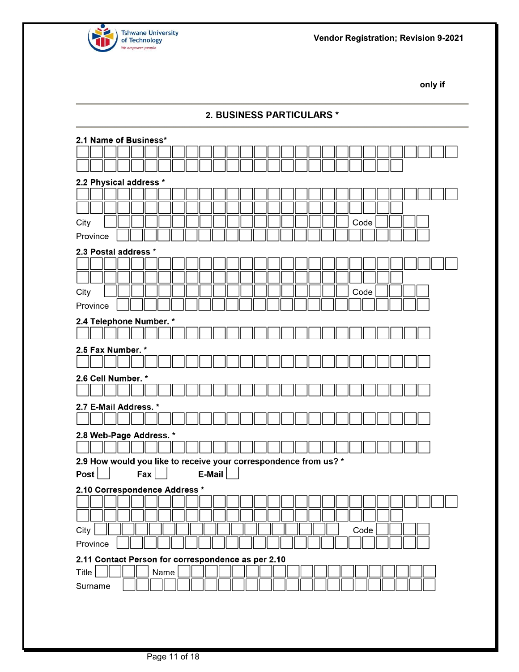

**only if** 

| 2. BUSINESS PARTICULARS *                                                  |  |
|----------------------------------------------------------------------------|--|
| 2.1 Name of Business*                                                      |  |
|                                                                            |  |
|                                                                            |  |
| 2.2 Physical address *                                                     |  |
|                                                                            |  |
|                                                                            |  |
| City<br>Code                                                               |  |
| Province                                                                   |  |
| 2.3 Postal address *                                                       |  |
|                                                                            |  |
|                                                                            |  |
| City<br>Code                                                               |  |
| Province                                                                   |  |
| 2.4 Telephone Number. *                                                    |  |
|                                                                            |  |
| 2.5 Fax Number. *                                                          |  |
|                                                                            |  |
| 2.6 Cell Number. *                                                         |  |
|                                                                            |  |
| 2.7 E-Mail Address. *                                                      |  |
|                                                                            |  |
| 2.8 Web-Page Address. *                                                    |  |
|                                                                            |  |
| 2.9 How would you like to receive your correspondence from us? *<br>E-Mail |  |
| Post<br>Fax                                                                |  |
| 2.10 Correspondence Address *                                              |  |
|                                                                            |  |
| City<br>Code                                                               |  |
| Province                                                                   |  |
| 2.11 Contact Person for correspondence as per 2.10                         |  |
| Title<br>Name                                                              |  |
| Surname                                                                    |  |
|                                                                            |  |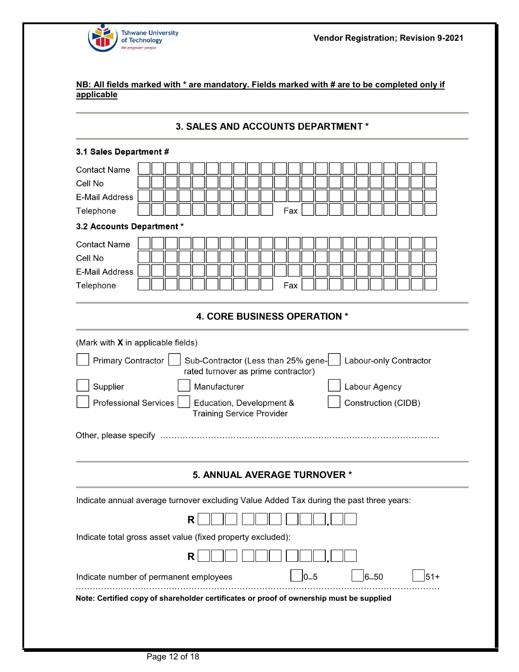

#### 3. SALES AND ACCOUNTS DEPARTMENT \*

#### 3.1 Sales Department #

| <b>Contact Name</b>                                                                     |  |   |                                  |  |                                                                            |         |  |  |               |                     |                        |       |  |
|-----------------------------------------------------------------------------------------|--|---|----------------------------------|--|----------------------------------------------------------------------------|---------|--|--|---------------|---------------------|------------------------|-------|--|
| Cell No                                                                                 |  |   |                                  |  |                                                                            |         |  |  |               |                     |                        |       |  |
| <b>E-Mail Address</b>                                                                   |  |   |                                  |  |                                                                            |         |  |  |               |                     |                        |       |  |
| Telephone                                                                               |  |   |                                  |  | Fax                                                                        |         |  |  |               |                     |                        |       |  |
|                                                                                         |  |   |                                  |  |                                                                            |         |  |  |               |                     |                        |       |  |
| 3.2 Accounts Department *                                                               |  |   |                                  |  |                                                                            |         |  |  |               |                     |                        |       |  |
| <b>Contact Name</b>                                                                     |  |   |                                  |  |                                                                            |         |  |  |               |                     |                        |       |  |
| Cell No                                                                                 |  |   |                                  |  |                                                                            |         |  |  |               |                     |                        |       |  |
| <b>E-Mail Address</b>                                                                   |  |   |                                  |  |                                                                            |         |  |  |               |                     |                        |       |  |
| Telephone                                                                               |  |   |                                  |  | Fax                                                                        |         |  |  |               |                     |                        |       |  |
|                                                                                         |  |   |                                  |  |                                                                            |         |  |  |               |                     |                        |       |  |
|                                                                                         |  |   |                                  |  | <b>4. CORE BUSINESS OPERATION *</b>                                        |         |  |  |               |                     |                        |       |  |
|                                                                                         |  |   |                                  |  |                                                                            |         |  |  |               |                     |                        |       |  |
| (Mark with X in applicable fields)                                                      |  |   |                                  |  |                                                                            |         |  |  |               |                     |                        |       |  |
| Primary Contractor                                                                      |  |   |                                  |  | Sub-Contractor (Less than 25% gene-<br>rated turnover as prime contractor) |         |  |  |               |                     | Labour-only Contractor |       |  |
| Supplier                                                                                |  |   | Manufacturer                     |  |                                                                            |         |  |  | Labour Agency |                     |                        |       |  |
|                                                                                         |  |   |                                  |  |                                                                            |         |  |  |               |                     |                        |       |  |
| Professional Services                                                                   |  |   | <b>Training Service Provider</b> |  | Education, Development &                                                   |         |  |  |               | Construction (CIDB) |                        |       |  |
|                                                                                         |  |   |                                  |  |                                                                            |         |  |  |               |                     |                        |       |  |
|                                                                                         |  |   |                                  |  |                                                                            |         |  |  |               |                     |                        |       |  |
|                                                                                         |  |   |                                  |  |                                                                            |         |  |  |               |                     |                        |       |  |
|                                                                                         |  |   |                                  |  |                                                                            |         |  |  |               |                     |                        |       |  |
|                                                                                         |  |   |                                  |  | 5. ANNUAL AVERAGE TURNOVER *                                               |         |  |  |               |                     |                        |       |  |
| Indicate annual average turnover excluding Value Added Tax during the past three years: |  |   |                                  |  |                                                                            |         |  |  |               |                     |                        |       |  |
|                                                                                         |  | R |                                  |  |                                                                            |         |  |  |               |                     |                        |       |  |
| Indicate total gross asset value (fixed property excluded):                             |  |   |                                  |  |                                                                            |         |  |  |               |                     |                        |       |  |
|                                                                                         |  |   |                                  |  |                                                                            |         |  |  |               |                     |                        |       |  |
|                                                                                         |  | R |                                  |  |                                                                            |         |  |  |               |                     |                        |       |  |
| Indicate number of permanent employees                                                  |  |   |                                  |  |                                                                            | $0 - 5$ |  |  | $6 - 50$      |                     |                        | $51+$ |  |
| Note: Certified copy of shareholder certificates or proof of ownership must be supplied |  |   |                                  |  |                                                                            |         |  |  |               |                     |                        |       |  |
|                                                                                         |  |   |                                  |  |                                                                            |         |  |  |               |                     |                        |       |  |
|                                                                                         |  |   |                                  |  |                                                                            |         |  |  |               |                     |                        |       |  |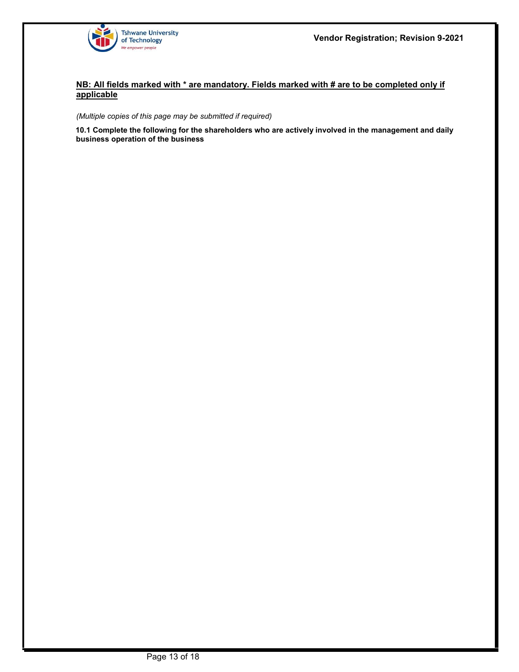

#### *(Multiple copies of this page may be submitted if required)*

**10.1 Complete the following for the shareholders who are actively involved in the management and daily business operation of the business**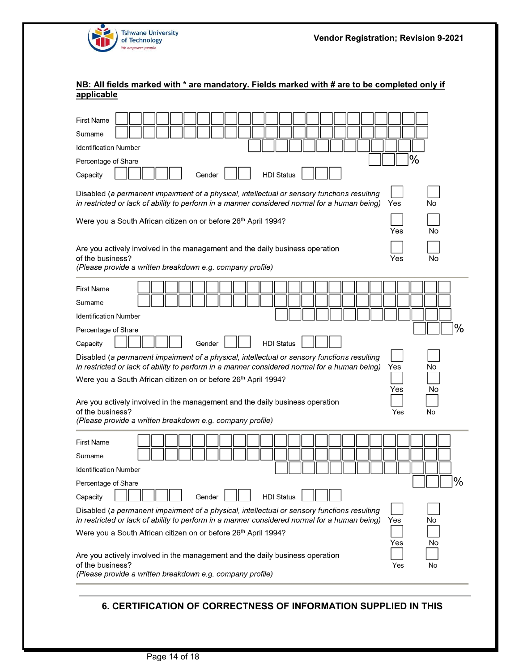

| <b>First Name</b>                                                                                                                                                                                        |
|----------------------------------------------------------------------------------------------------------------------------------------------------------------------------------------------------------|
| Surname                                                                                                                                                                                                  |
| <b>Identification Number</b>                                                                                                                                                                             |
| $\%$<br>Percentage of Share                                                                                                                                                                              |
| <b>HDI Status</b><br>Gender<br>Capacity                                                                                                                                                                  |
| Disabled (a permanent impairment of a physical, intellectual or sensory functions resulting<br>in restricted or lack of ability to perform in a manner considered normal for a human being)<br>Yes<br>No |
| Were you a South African citizen on or before 26 <sup>th</sup> April 1994?<br>Yes<br>No                                                                                                                  |
| Are you actively involved in the management and the daily business operation<br>of the business?<br>No<br>Yes<br>(Please provide a written breakdown e.g. company profile)                               |
| <b>First Name</b>                                                                                                                                                                                        |
| Surname                                                                                                                                                                                                  |
| <b>Identification Number</b>                                                                                                                                                                             |
| $\%$<br>Percentage of Share                                                                                                                                                                              |
| <b>HDI Status</b><br>Capacity<br>Gender                                                                                                                                                                  |
| Disabled (a permanent impairment of a physical, intellectual or sensory functions resulting                                                                                                              |
| in restricted or lack of ability to perform in a manner considered normal for a human being)<br>Yes<br>No<br>Were you a South African citizen on or before 26 <sup>th</sup> April 1994?                  |
| No<br>Yes<br>Are you actively involved in the management and the daily business operation<br>of the business?<br>Yes<br>No<br>(Please provide a written breakdown e.g. company profile)                  |
|                                                                                                                                                                                                          |
| <b>First Name</b><br>Surname                                                                                                                                                                             |
| Identification Number                                                                                                                                                                                    |
| Percentage of Share                                                                                                                                                                                      |
| %<br><b>HDI Status</b><br>Capacity<br>Gender                                                                                                                                                             |
| Disabled (a permanent impairment of a physical, intellectual or sensory functions resulting<br>in restricted or lack of ability to perform in a manner considered normal for a human being)<br>Yes<br>No |
| Were you a South African citizen on or before 26 <sup>th</sup> April 1994?                                                                                                                               |
| Yes<br>No<br>Are you actively involved in the management and the daily business operation<br>of the business?<br>Yes<br>No<br>(Please provide a written breakdown e.g. company profile)                  |

### **6. CERTIFICATION OF CORRECTNESS OF INFORMATION SUPPLIED IN THIS**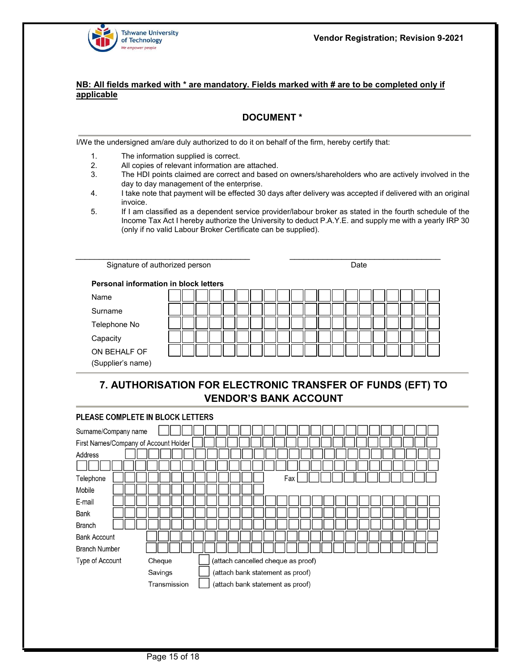

### **DOCUMENT \***

I/We the undersigned am/are duly authorized to do it on behalf of the firm, hereby certify that:

- 1. The information supplied is correct.
- 2. All copies of relevant information are attached.
- 3. The HDI points claimed are correct and based on owners/shareholders who are actively involved in the day to day management of the enterprise.
- 4. I take note that payment will be effected 30 days after delivery was accepted if delivered with an original invoice.
- 5. If I am classified as a dependent service provider/labour broker as stated in the fourth schedule of the Income Tax Act I hereby authorize the University to deduct P.A.Y.E. and supply me with a yearly IRP 30 (only if no valid Labour Broker Certificate can be supplied).

| Signature of authorized person               |  | Date |  |
|----------------------------------------------|--|------|--|
| <b>Personal information in block letters</b> |  |      |  |
| Name                                         |  |      |  |
| Surname                                      |  |      |  |
| Telephone No                                 |  |      |  |
| Capacity                                     |  |      |  |
| ON BEHALF OF<br>(Supplier's name)            |  |      |  |

# **7. AUTHORISATION FOR ELECTRONIC TRANSFER OF FUNDS (EFT) TO VENDOR'S BANK ACCOUNT**

#### PLEASE COMPLETE IN BLOCK LETTERS Surname/Company name First Names/Company of Account Holder Address Telephone Fax Mobile E-mail Bank **Branch Bank Account Branch Number** Type of Account Cheque (attach cancelled cheque as proof) Savings (attach bank statement as proof) Transmission (attach bank statement as proof)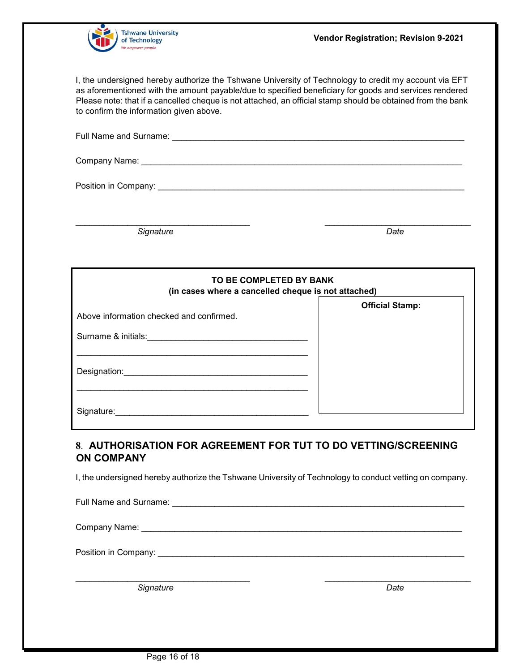

I, the undersigned hereby authorize the Tshwane University of Technology to credit my account via EFT as aforementioned with the amount payable/due to specified beneficiary for goods and services rendered Please note: that if a cancelled cheque is not attached, an official stamp should be obtained from the bank to confirm the information given above.

\_\_\_\_\_\_\_\_\_\_\_\_\_\_\_\_\_\_\_\_\_\_\_\_\_\_\_\_\_\_\_\_\_\_\_\_\_ \_\_\_\_\_\_\_\_\_\_\_\_\_\_\_\_\_\_\_\_\_\_\_\_\_\_\_\_\_\_\_

**Signature** Date **Date Date** 

| TO BE COMPLETED BY BANK<br>(in cases where a cancelled cheque is not attached) |                        |
|--------------------------------------------------------------------------------|------------------------|
| Above information checked and confirmed.                                       | <b>Official Stamp:</b> |
| Surname & initials:                                                            |                        |
| Designation:                                                                   |                        |
| Signature:                                                                     |                        |

## **8**. **AUTHORISATION FOR AGREEMENT FOR TUT TO DO VETTING/SCREENING ON COMPANY**

I, the undersigned hereby authorize the Tshwane University of Technology to conduct vetting on company.

| Full Name and Surname:                                                                                                                                                                                                         |  |
|--------------------------------------------------------------------------------------------------------------------------------------------------------------------------------------------------------------------------------|--|
| Company Name: Name: Name and Separate and Separate and Separate and Separate and Separate and Separate and Separate and Separate and Separate and Separate and Separate and Separate and Separate and Separate and Separate an |  |
|                                                                                                                                                                                                                                |  |

 $\frac{1}{2}$  ,  $\frac{1}{2}$  ,  $\frac{1}{2}$  ,  $\frac{1}{2}$  ,  $\frac{1}{2}$  ,  $\frac{1}{2}$  ,  $\frac{1}{2}$  ,  $\frac{1}{2}$  ,  $\frac{1}{2}$  ,  $\frac{1}{2}$  ,  $\frac{1}{2}$  ,  $\frac{1}{2}$  ,  $\frac{1}{2}$  ,  $\frac{1}{2}$  ,  $\frac{1}{2}$  ,  $\frac{1}{2}$  ,  $\frac{1}{2}$  ,  $\frac{1}{2}$  ,  $\frac{1$ 

**Signature** Date **Date**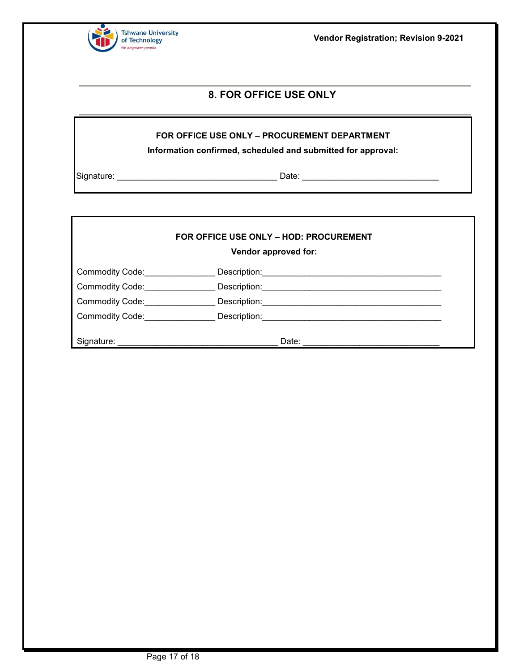

**Vendor Registration; Revision 9-2021**

## **8. FOR OFFICE USE ONLY**

#### **FOR OFFICE USE ONLY – PROCUREMENT DEPARTMENT**

**Information confirmed, scheduled and submitted for approval:** 

Signature: \_\_\_\_\_\_\_\_\_\_\_\_\_\_\_\_\_\_\_\_\_\_\_\_\_\_\_\_\_\_\_\_\_\_ Date: \_\_\_\_\_\_\_\_\_\_\_\_\_\_\_\_\_\_\_\_\_\_\_\_\_\_\_\_\_

#### **FOR OFFICE USE ONLY – HOD: PROCUREMENT**

**Vendor approved for:** 

| <b>Commodity Code:</b> | Description: |
|------------------------|--------------|
| <b>Commodity Code:</b> | Description: |
| <b>Commodity Code:</b> | Description: |
| <b>Commodity Code:</b> | Description: |
|                        |              |
| Signature:             | Date:        |